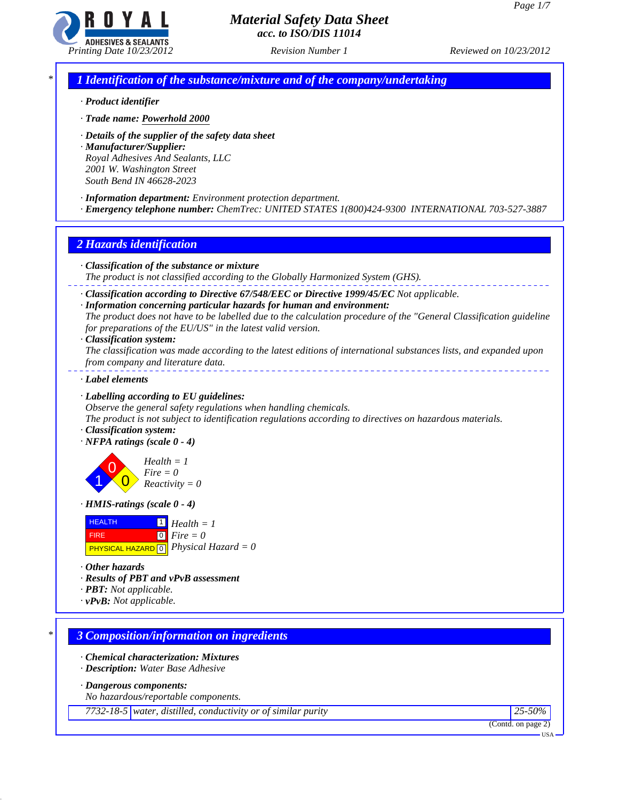

*\* 1 Identification of the substance/mixture and of the company/undertaking*

- *· Product identifier*
- *· Trade name: Powerhold 2000*
- *· Details of the supplier of the safety data sheet*
- *· Manufacturer/Supplier: Royal Adhesives And Sealants, LLC 2001 W. Washington Street South Bend IN 46628-2023*
- *· Information department: Environment protection department.*
- *· Emergency telephone number: ChemTrec: UNITED STATES 1(800)424-9300 INTERNATIONAL 703-527-3887*

## *2 Hazards identification*

- *· Classification of the substance or mixture*
- *The product is not classified according to the Globally Harmonized System (GHS).*
- *· Classification according to Directive 67/548/EEC or Directive 1999/45/EC Not applicable.*
- *· Information concerning particular hazards for human and environment:*
- *The product does not have to be labelled due to the calculation procedure of the "General Classification guideline for preparations of the EU/US" in the latest valid version.*
- *· Classification system:*

*The classification was made according to the latest editions of international substances lists, and expanded upon from company and literature data.* 

*· Label elements*

### *· Labelling according to EU guidelines:*

*Observe the general safety regulations when handling chemicals.*

- *The product is not subject to identification regulations according to directives on hazardous materials. · Classification system:*
- *· NFPA ratings (scale 0 4)*

1 0  $\overline{\mathbf{0}}$ *Health = 1 Fire = 0 Reactivity = 0*

*· HMIS-ratings (scale 0 - 4)*



*· Other hazards*

- *· Results of PBT and vPvB assessment*
- *· PBT: Not applicable.*
- *· vPvB: Not applicable.*

## *\* 3 Composition/information on ingredients*

- *· Chemical characterization: Mixtures*
- *· Description: Water Base Adhesive*

*· Dangerous components:*

*No hazardous/reportable components.*

*7732-18-5 water, distilled, conductivity or of similar purity 25-50%*

(Contd. on page 2)

USA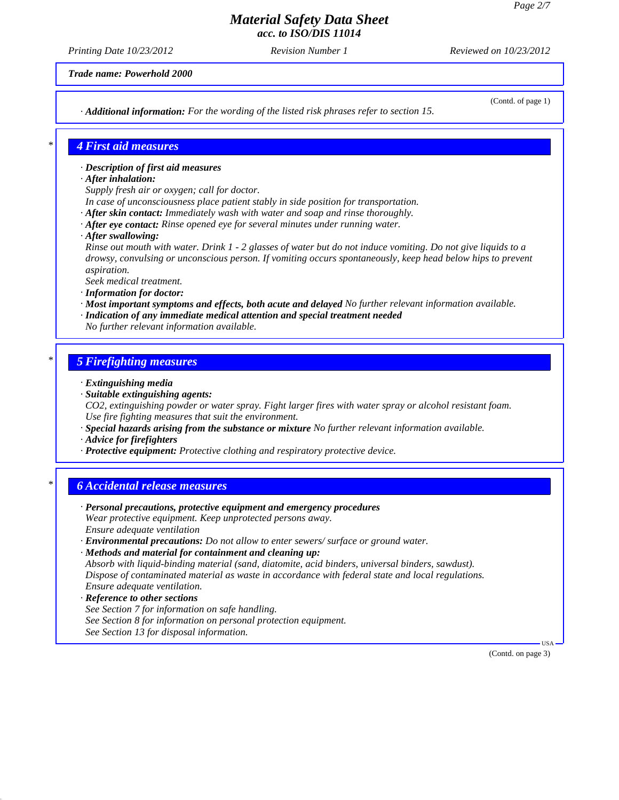*Printing Date 10/23/2012 Revision Number 1 Reviewed on 10/23/2012*

*Trade name: Powerhold 2000*

*· Additional information: For the wording of the listed risk phrases refer to section 15.*

(Contd. of page 1)

### *\* 4 First aid measures*

- *· Description of first aid measures*
- *· After inhalation:*
- *Supply fresh air or oxygen; call for doctor.*
- *In case of unconsciousness place patient stably in side position for transportation.*
- *· After skin contact: Immediately wash with water and soap and rinse thoroughly.*
- *· After eye contact: Rinse opened eye for several minutes under running water.*
- *· After swallowing:*
- *Rinse out mouth with water. Drink 1 2 glasses of water but do not induce vomiting. Do not give liquids to a drowsy, convulsing or unconscious person. If vomiting occurs spontaneously, keep head below hips to prevent aspiration.*
- *Seek medical treatment.*
- *· Information for doctor:*
- *· Most important symptoms and effects, both acute and delayed No further relevant information available. · Indication of any immediate medical attention and special treatment needed*
- *No further relevant information available.*

#### *\* 5 Firefighting measures*

- *· Extinguishing media*
- *· Suitable extinguishing agents:*

*CO2, extinguishing powder or water spray. Fight larger fires with water spray or alcohol resistant foam. Use fire fighting measures that suit the environment.*

- *· Special hazards arising from the substance or mixture No further relevant information available.*
- *· Advice for firefighters*
- *· Protective equipment: Protective clothing and respiratory protective device.*

### *\* 6 Accidental release measures*

*· Personal precautions, protective equipment and emergency procedures Wear protective equipment. Keep unprotected persons away. Ensure adequate ventilation · Environmental precautions: Do not allow to enter sewers/ surface or ground water. · Methods and material for containment and cleaning up:*

*Absorb with liquid-binding material (sand, diatomite, acid binders, universal binders, sawdust). Dispose of contaminated material as waste in accordance with federal state and local regulations. Ensure adequate ventilation.*

- *· Reference to other sections*
- *See Section 7 for information on safe handling.*
- *See Section 8 for information on personal protection equipment.*
- *See Section 13 for disposal information.*

(Contd. on page 3)

USA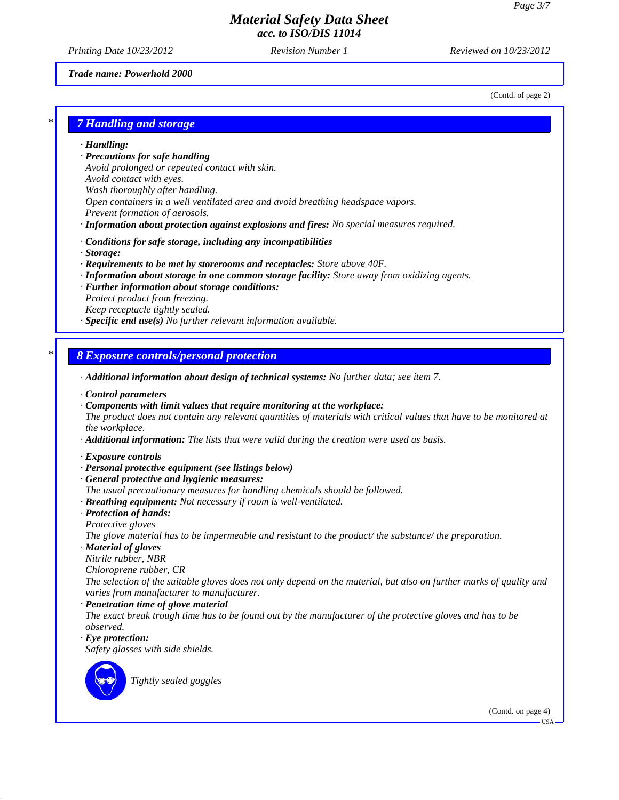(Contd. of page 2)

# *Material Safety Data Sheet acc. to ISO/DIS 11014*

*Printing Date 10/23/2012 Revision Number 1 Reviewed on 10/23/2012*

#### *Trade name: Powerhold 2000*

*\* 7 Handling and storage*

*· Handling:*

*· Precautions for safe handling*

*Avoid prolonged or repeated contact with skin. Avoid contact with eyes. Wash thoroughly after handling. Open containers in a well ventilated area and avoid breathing headspace vapors. Prevent formation of aerosols.*

- *· Information about protection against explosions and fires: No special measures required.*
- *· Conditions for safe storage, including any incompatibilities*
- *· Storage:*
- *· Requirements to be met by storerooms and receptacles: Store above 40F.*
- *· Information about storage in one common storage facility: Store away from oxidizing agents.*
- *· Further information about storage conditions: Protect product from freezing. Keep receptacle tightly sealed.*
- *· Specific end use(s) No further relevant information available.*

## *\* 8 Exposure controls/personal protection*

*· Additional information about design of technical systems: No further data; see item 7.*

- *· Control parameters*
- *· Components with limit values that require monitoring at the workplace:*

*The product does not contain any relevant quantities of materials with critical values that have to be monitored at the workplace.*

- *· Additional information: The lists that were valid during the creation were used as basis.*
- *· Exposure controls*
- *· Personal protective equipment (see listings below)*
- *· General protective and hygienic measures:*
- *The usual precautionary measures for handling chemicals should be followed.*
- *· Breathing equipment: Not necessary if room is well-ventilated.*
- *· Protection of hands: Protective gloves*
- *The glove material has to be impermeable and resistant to the product/ the substance/ the preparation.*
- *· Material of gloves*
- *Nitrile rubber, NBR*

*Chloroprene rubber, CR*

*The selection of the suitable gloves does not only depend on the material, but also on further marks of quality and varies from manufacturer to manufacturer.*

- *· Penetration time of glove material*
- *The exact break trough time has to be found out by the manufacturer of the protective gloves and has to be observed.*
- *· Eye protection:*

*Safety glasses with side shields.*



*Tightly sealed goggles*

(Contd. on page 4)

USA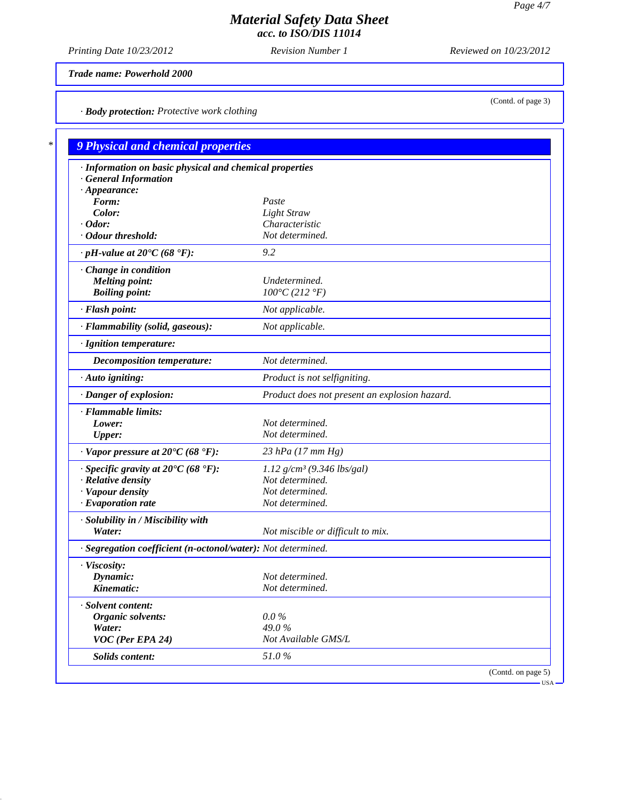*Printing Date 10/23/2012 Revision Number 1 Reviewed on 10/23/2012*

*Trade name: Powerhold 2000*

*· Body protection: Protective work clothing*

| · Information on basic physical and chemical properties      |                                               |  |
|--------------------------------------------------------------|-----------------------------------------------|--|
| <b>General Information</b>                                   |                                               |  |
| $\cdot$ Appearance:<br>Form:                                 | Paste                                         |  |
| Color:                                                       | <b>Light Straw</b>                            |  |
| $\cdot$ Odor:                                                | Characteristic                                |  |
| · Odour threshold:                                           | Not determined.                               |  |
| $\cdot$ pH-value at 20°C (68 °F):                            | 9.2                                           |  |
| Change in condition                                          |                                               |  |
| <b>Melting point:</b>                                        | Undetermined.                                 |  |
| <b>Boiling point:</b>                                        | $100^{\circ}C(212^{\circ}F)$                  |  |
| · Flash point:                                               | Not applicable.                               |  |
| · Flammability (solid, gaseous):                             | Not applicable.                               |  |
| · Ignition temperature:                                      |                                               |  |
| Decomposition temperature:                                   | Not determined.                               |  |
| $\cdot$ Auto igniting:                                       | Product is not selfigniting.                  |  |
| · Danger of explosion:                                       | Product does not present an explosion hazard. |  |
| · Flammable limits:                                          |                                               |  |
| Lower:                                                       | Not determined.                               |  |
| <b>Upper:</b>                                                | Not determined.                               |  |
| $\cdot$ Vapor pressure at 20°C (68 °F):                      | 23 hPa (17 mm Hg)                             |  |
| $\cdot$ Specific gravity at 20°C (68 °F):                    | $1.12$ g/cm <sup>3</sup> (9.346 lbs/gal)      |  |
| $\cdot$ Relative density                                     | Not determined.                               |  |
| · Vapour density                                             | Not determined.                               |  |
| $\cdot$ Evaporation rate                                     | Not determined.                               |  |
| · Solubility in / Miscibility with                           |                                               |  |
| Water:                                                       | Not miscible or difficult to mix.             |  |
| · Segregation coefficient (n-octonol/water): Not determined. |                                               |  |
| · Viscosity:                                                 |                                               |  |
| Dynamic:                                                     | Not determined.                               |  |
| Kinematic:                                                   | Not determined.                               |  |
| · Solvent content:                                           |                                               |  |
| Organic solvents:                                            | $0.0\%$                                       |  |
| Water:                                                       | 49.0%                                         |  |
| VOC (Per EPA 24)                                             | Not Available GMS/L                           |  |
| Solids content:                                              | 51.0%                                         |  |

(Contd. of page 3)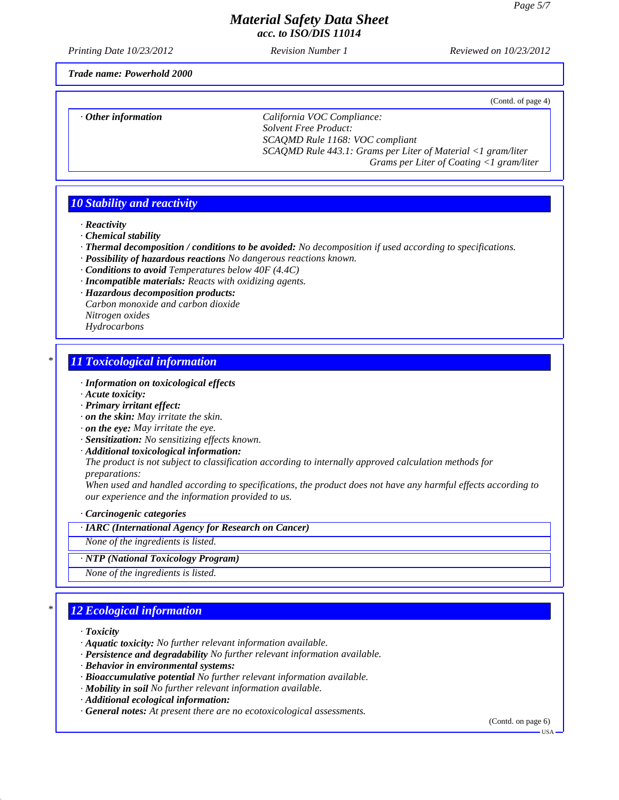*Printing Date 10/23/2012 Revision Number 1 Reviewed on 10/23/2012*

(Contd. of page 4)

*Trade name: Powerhold 2000*

*· Other information California VOC Compliance:*

*Solvent Free Product: SCAQMD Rule 1168: VOC compliant SCAQMD Rule 443.1: Grams per Liter of Material <1 gram/liter Grams per Liter of Coating <1 gram/liter*

## *10 Stability and reactivity*

*· Reactivity*

- *· Chemical stability*
- *· Thermal decomposition / conditions to be avoided: No decomposition if used according to specifications.*
- *· Possibility of hazardous reactions No dangerous reactions known.*
- *· Conditions to avoid Temperatures below 40F (4.4C)*
- *· Incompatible materials: Reacts with oxidizing agents.*
- *· Hazardous decomposition products:*
- *Carbon monoxide and carbon dioxide Nitrogen oxides*
- *Hydrocarbons*

## *\* 11 Toxicological information*

- *· Information on toxicological effects*
- *· Acute toxicity:*
- *· Primary irritant effect:*
- *· on the skin: May irritate the skin.*
- *· on the eye: May irritate the eye.*
- *· Sensitization: No sensitizing effects known.*
- *· Additional toxicological information:*
- *The product is not subject to classification according to internally approved calculation methods for preparations:*

*When used and handled according to specifications, the product does not have any harmful effects according to our experience and the information provided to us.*

*· Carcinogenic categories*

## *· IARC (International Agency for Research on Cancer)*

*None of the ingredients is listed.*

*· NTP (National Toxicology Program)*

*None of the ingredients is listed.*

# *\* 12 Ecological information*

- *· Toxicity*
- *· Aquatic toxicity: No further relevant information available.*
- *· Persistence and degradability No further relevant information available.*
- *· Behavior in environmental systems:*
- *· Bioaccumulative potential No further relevant information available.*
- *· Mobility in soil No further relevant information available.*
- *· Additional ecological information:*
- *· General notes: At present there are no ecotoxicological assessments.*

(Contd. on page 6)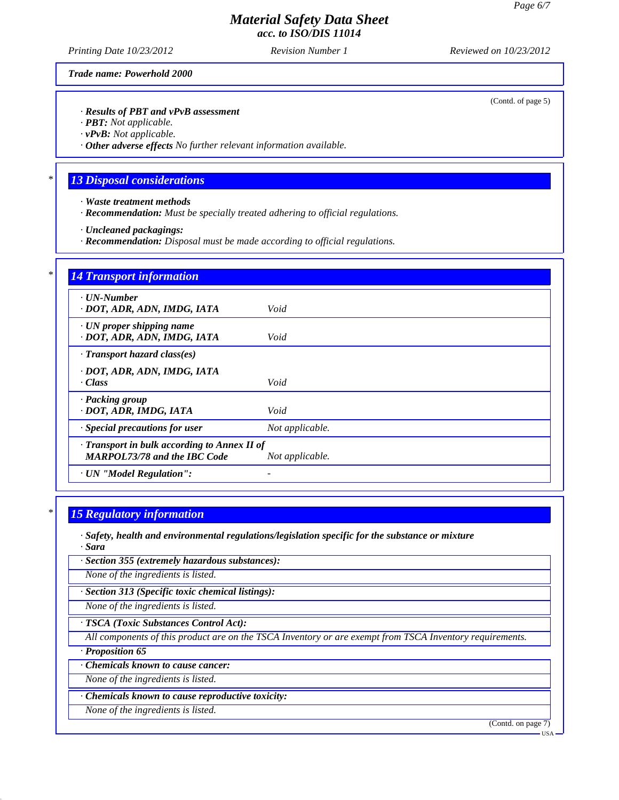*Printing Date 10/23/2012 Revision Number 1 Reviewed on 10/23/2012*

*Trade name: Powerhold 2000*

*· Results of PBT and vPvB assessment*

*· PBT: Not applicable.*

*· vPvB: Not applicable.*

*· Other adverse effects No further relevant information available.*

## *\* 13 Disposal considerations*

- *· Waste treatment methods*
- *· Recommendation: Must be specially treated adhering to official regulations.*
- *· Uncleaned packagings:*
- *· Recommendation: Disposal must be made according to official regulations.*

| <b>14 Transport information</b>                                |                 |
|----------------------------------------------------------------|-----------------|
| $\cdot$ UN-Number<br>· DOT, ADR, ADN, IMDG, IATA               | Void            |
| $\cdot$ UN proper shipping name<br>· DOT, ADR, ADN, IMDG, IATA | Void            |
| $\cdot$ Transport hazard class(es)                             |                 |
| · DOT, ADR, ADN, IMDG, IATA                                    |                 |
| · Class                                                        | Void            |
| · Packing group                                                |                 |
| · DOT, ADR, IMDG, IATA                                         | Void            |
| · Special precautions for user                                 | Not applicable. |
| · Transport in bulk according to Annex II of                   |                 |
| <b>MARPOL73/78 and the IBC Code</b>                            | Not applicable. |
| · UN "Model Regulation":                                       |                 |

### *\* 15 Regulatory information*

*· Safety, health and environmental regulations/legislation specific for the substance or mixture · Sara*

*· Section 355 (extremely hazardous substances):*

*None of the ingredients is listed.*

*· Section 313 (Specific toxic chemical listings):*

*None of the ingredients is listed.*

*· TSCA (Toxic Substances Control Act):*

*All components of this product are on the TSCA Inventory or are exempt from TSCA Inventory requirements.*

*· Proposition 65*

*· Chemicals known to cause cancer:*

*None of the ingredients is listed.*

*· Chemicals known to cause reproductive toxicity:*

*None of the ingredients is listed.*

(Contd. on page 7)

(Contd. of page 5)

USA